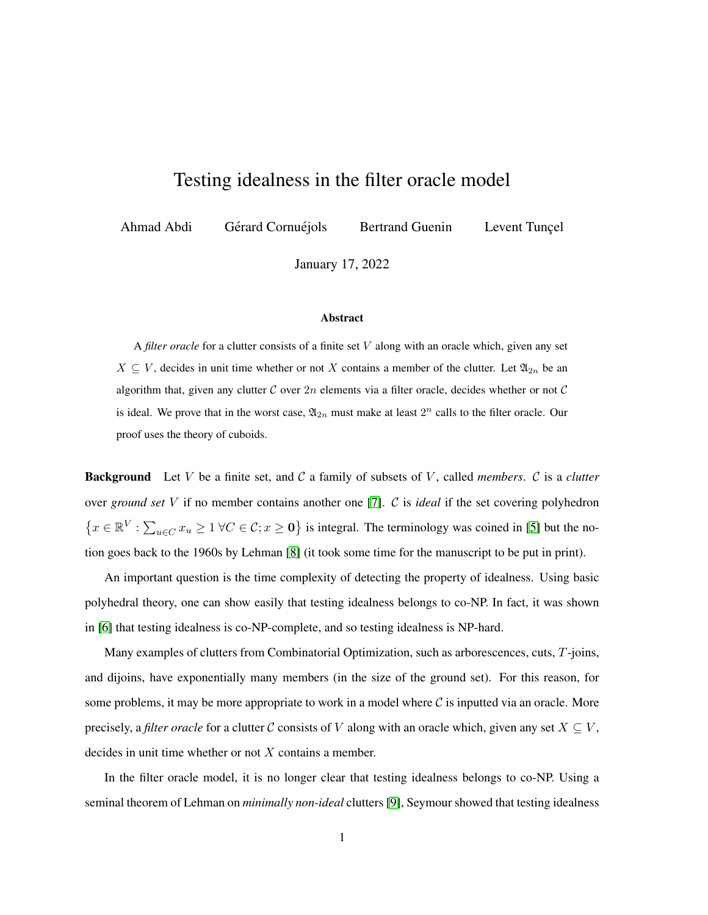## Testing idealness in the filter oracle model

Ahmad Abdi Gérard Cornuéjols Bertrand Guenin Levent Tuncel

January 17, 2022

## Abstract

A *filter oracle* for a clutter consists of a finite set V along with an oracle which, given any set  $X \subseteq V$ , decides in unit time whether or not X contains a member of the clutter. Let  $\mathfrak{A}_{2n}$  be an algorithm that, given any clutter C over  $2n$  elements via a filter oracle, decides whether or not C is ideal. We prove that in the worst case,  $\mathfrak{A}_{2n}$  must make at least  $2^n$  calls to the filter oracle. Our proof uses the theory of cuboids.

Background Let V be a finite set, and C a family of subsets of V , called *members*. C is a *clutter* over *ground set* V if no member contains another one [\[7\]](#page-3-0). C is *ideal* if the set covering polyhedron  $\{x \in \mathbb{R}^V : \sum_{u \in C} x_u \ge 1 \ \forall C \in C; x \ge 0\}$  is integral. The terminology was coined in [\[5\]](#page-3-1) but the notion goes back to the 1960s by Lehman [\[8\]](#page-3-2) (it took some time for the manuscript to be put in print).

An important question is the time complexity of detecting the property of idealness. Using basic polyhedral theory, one can show easily that testing idealness belongs to co-NP. In fact, it was shown in [\[6\]](#page-3-3) that testing idealness is co-NP-complete, and so testing idealness is NP-hard.

Many examples of clutters from Combinatorial Optimization, such as arborescences, cuts, T-joins, and dijoins, have exponentially many members (in the size of the ground set). For this reason, for some problems, it may be more appropriate to work in a model where  $\mathcal C$  is inputted via an oracle. More precisely, a *filter oracle* for a clutter C consists of V along with an oracle which, given any set  $X \subseteq V$ , decides in unit time whether or not  $X$  contains a member.

In the filter oracle model, it is no longer clear that testing idealness belongs to co-NP. Using a seminal theorem of Lehman on *minimally non-ideal* clutters [\[9\]](#page-3-4), Seymour showed that testing idealness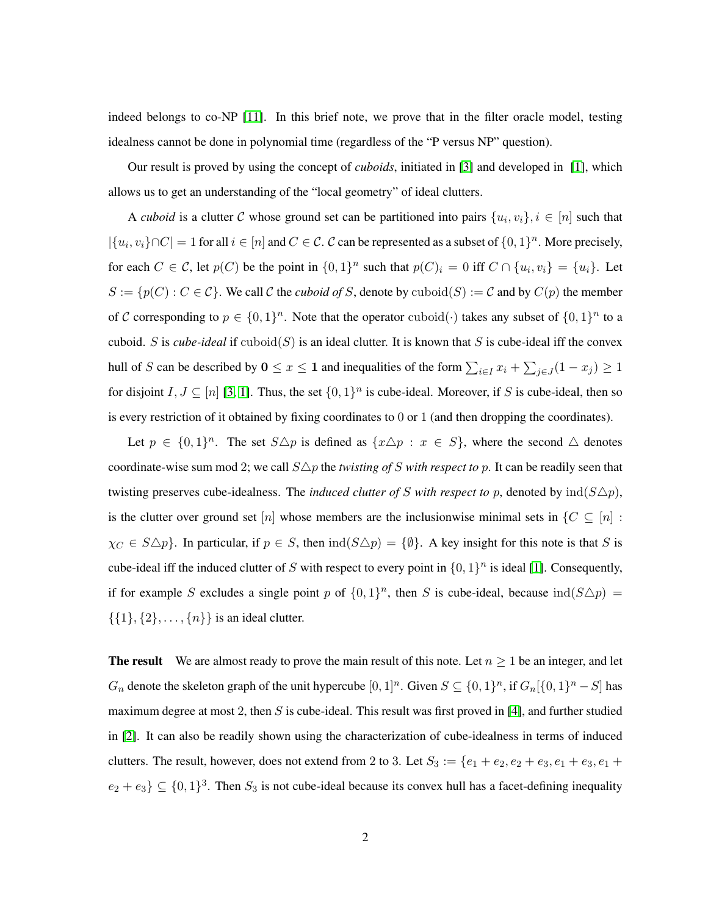indeed belongs to co-NP [\[11\]](#page-3-5). In this brief note, we prove that in the filter oracle model, testing idealness cannot be done in polynomial time (regardless of the "P versus NP" question).

Our result is proved by using the concept of *cuboids*, initiated in [\[3\]](#page-3-6) and developed in [\[1\]](#page-3-7), which allows us to get an understanding of the "local geometry" of ideal clutters.

A *cuboid* is a clutter C whose ground set can be partitioned into pairs  $\{u_i, v_i\}, i \in [n]$  such that  $|\{u_i, v_i\} \cap C| = 1$  for all  $i \in [n]$  and  $C \in \mathcal{C}$ .  $\mathcal{C}$  can be represented as a subset of  $\{0, 1\}^n$ . More precisely, for each  $C \in \mathcal{C}$ , let  $p(C)$  be the point in  $\{0,1\}^n$  such that  $p(C)_i = 0$  iff  $C \cap \{u_i, v_i\} = \{u_i\}$ . Let  $S := \{p(C) : C \in \mathcal{C}\}\$ . We call  $\mathcal C$  the *cuboid of* S, denote by  $\text{cuboid}(S) := \mathcal C$  and by  $C(p)$  the member of C corresponding to  $p \in \{0,1\}^n$ . Note that the operator cuboid( $\cdot$ ) takes any subset of  $\{0,1\}^n$  to a cuboid. S is *cube-ideal* if  $\text{cuboid}(S)$  is an ideal clutter. It is known that S is cube-ideal iff the convex hull of S can be described by  $0 \le x \le 1$  and inequalities of the form  $\sum_{i \in I} x_i + \sum_{j \in J} (1 - x_j) \ge 1$ for disjoint  $I, J \subseteq [n]$  [\[3,](#page-3-6) [1\]](#page-3-7). Thus, the set  $\{0, 1\}^n$  is cube-ideal. Moreover, if S is cube-ideal, then so is every restriction of it obtained by fixing coordinates to 0 or 1 (and then dropping the coordinates).

Let  $p \in \{0,1\}^n$ . The set  $S \triangle p$  is defined as  $\{x \triangle p : x \in S\}$ , where the second  $\triangle$  denotes coordinate-wise sum mod 2; we call  $S\Delta p$  the *twisting of* S *with respect to* p. It can be readily seen that twisting preserves cube-idealness. The *induced clutter of* S with respect to p, denoted by  $ind(S\Delta p)$ , is the clutter over ground set [n] whose members are the inclusionwise minimal sets in  $\{C \subseteq [n] :$  $\chi_C \in S \triangle p$ . In particular, if  $p \in S$ , then  $\text{ind}(S \triangle p) = \{\emptyset\}$ . A key insight for this note is that S is cube-ideal iff the induced clutter of S with respect to every point in  $\{0, 1\}^n$  is ideal [\[1\]](#page-3-7). Consequently, if for example S excludes a single point p of  $\{0,1\}^n$ , then S is cube-ideal, because  $\text{ind}(S \triangle p)$  =  $\{\{1\}, \{2\}, \ldots, \{n\}\}\$ is an ideal clutter.

**The result** We are almost ready to prove the main result of this note. Let  $n \geq 1$  be an integer, and let  $G_n$  denote the skeleton graph of the unit hypercube  $[0,1]^n$ . Given  $S \subseteq \{0,1\}^n$ , if  $G_n[\{0,1\}^n - S]$  has maximum degree at most 2, then  $S$  is cube-ideal. This result was first proved in [\[4\]](#page-3-8), and further studied in [\[2\]](#page-3-9). It can also be readily shown using the characterization of cube-idealness in terms of induced clutters. The result, however, does not extend from 2 to 3. Let  $S_3 := \{e_1 + e_2, e_2 + e_3, e_1 + e_3, e_1 + e_2, e_2 + e_3, e_3 + e_4, e_4 + e_5, e_6 + e_6, e_7 + e_7 + e_8 + e_4, e_7 + e_8 + e_9 + e_4, e_8 + e_9 + e_4, e_9 + e_1 + e_2 + e_3 + e_4, e_1 + e_2 + e_3 + e_4, e_4 + e_$  $e_2 + e_3$   $\subseteq$   $\{0, 1\}^3$ . Then  $S_3$  is not cube-ideal because its convex hull has a facet-defining inequality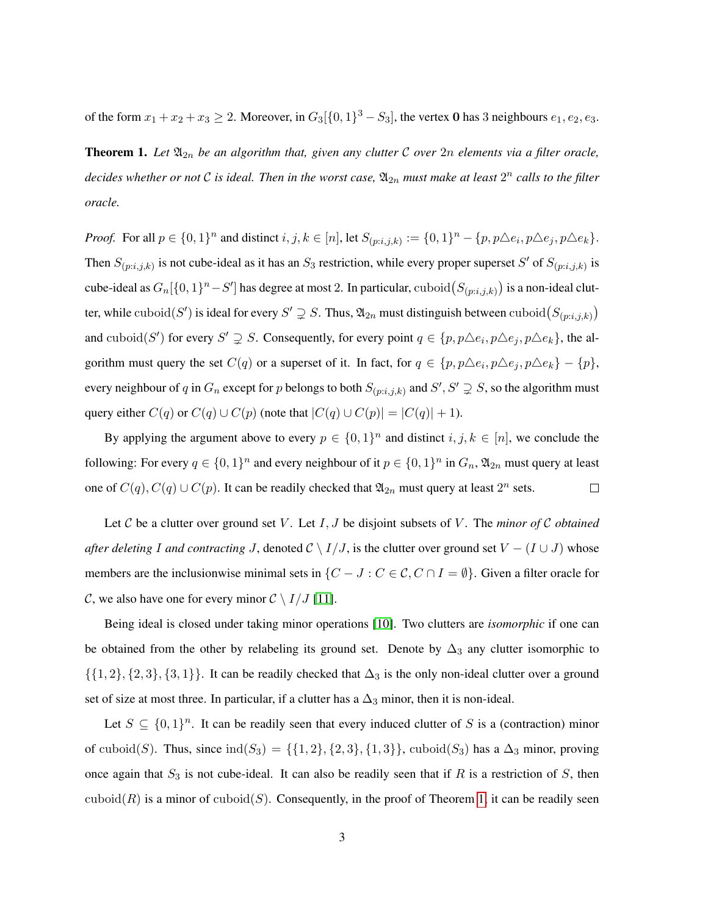<span id="page-2-0"></span>of the form  $x_1 + x_2 + x_3 \ge 2$ . Moreover, in  $G_3[\{0,1\}^3 - S_3]$ , the vertex **0** has 3 neighbours  $e_1, e_2, e_3$ .

**Theorem 1.** Let  $\mathfrak{A}_{2n}$  be an algorithm that, given any clutter  $\mathcal C$  over  $2n$  elements via a filter oracle, decides whether or not  $\mathcal C$  is ideal. Then in the worst case,  $\mathfrak{A}_{2n}$  must make at least  $2^n$  calls to the filter *oracle.*

*Proof.* For all  $p \in \{0, 1\}^n$  and distinct  $i, j, k \in [n]$ , let  $S_{(p:i,j,k)} := \{0, 1\}^n - \{p, p \triangle e_i, p \triangle e_j, p \triangle e_k\}.$ Then  $S_{(p:i,j,k)}$  is not cube-ideal as it has an  $S_3$  restriction, while every proper superset S' of  $S_{(p:i,j,k)}$  is cube-ideal as  $G_n[\{0,1\}^n - S']$  has degree at most 2. In particular, cuboid $(S_{(p:i,j,k)})$  is a non-ideal clutter, while  $\mathrm{cuboid}(S')$  is ideal for every  $S' \supsetneq S$ . Thus,  $\mathfrak{A}_{2n}$  must distinguish between  $\mathrm{cuboid}(S_{(p:i,j,k)})$ and cuboid(S') for every  $S' \supsetneq S$ . Consequently, for every point  $q \in \{p, p \triangle e_i, p \triangle e_j, p \triangle e_k\}$ , the algorithm must query the set  $C(q)$  or a superset of it. In fact, for  $q \in \{p, p \triangle e_i, p \triangle e_j, p \triangle e_k\} - \{p\}$ , every neighbour of q in  $G_n$  except for p belongs to both  $S_{(p:i,j,k)}$  and  $S', S' \supsetneq S$ , so the algorithm must query either  $C(q)$  or  $C(q) \cup C(p)$  (note that  $|C(q) \cup C(p)| = |C(q)| + 1$ ).

By applying the argument above to every  $p \in \{0,1\}^n$  and distinct  $i, j, k \in [n]$ , we conclude the following: For every  $q \in \{0,1\}^n$  and every neighbour of it  $p \in \{0,1\}^n$  in  $G_n$ ,  $\mathfrak{A}_{2n}$  must query at least one of  $C(q)$ ,  $C(q) \cup C(p)$ . It can be readily checked that  $\mathfrak{A}_{2n}$  must query at least  $2^n$  sets.  $\Box$ 

Let C be a clutter over ground set V. Let I, J be disjoint subsets of V. The *minor of* C *obtained after deleting* I and contracting J, denoted  $\mathcal{C} \setminus I/J$ , is the clutter over ground set  $V - (I \cup J)$  whose members are the inclusionwise minimal sets in  $\{C - J : C \in \mathcal{C}, C \cap I = \emptyset\}$ . Given a filter oracle for C, we also have one for every minor  $C \setminus I/J$  [\[11\]](#page-3-5).

Being ideal is closed under taking minor operations [\[10\]](#page-3-10). Two clutters are *isomorphic* if one can be obtained from the other by relabeling its ground set. Denote by  $\Delta_3$  any clutter isomorphic to  $\{\{1, 2\}, \{2, 3\}, \{3, 1\}\}\.$  It can be readily checked that  $\Delta_3$  is the only non-ideal clutter over a ground set of size at most three. In particular, if a clutter has a  $\Delta_3$  minor, then it is non-ideal.

Let  $S \subseteq \{0,1\}^n$ . It can be readily seen that every induced clutter of S is a (contraction) minor of cuboid(S). Thus, since  $\text{ind}(S_3) = \{ \{1, 2\}, \{2, 3\}, \{1, 3\} \}$ , cuboid(S<sub>3</sub>) has a  $\Delta_3$  minor, proving once again that  $S_3$  is not cube-ideal. It can also be readily seen that if R is a restriction of S, then cuboid(R) is a minor of cuboid(S). Consequently, in the proof of Theorem [1,](#page-2-0) it can be readily seen